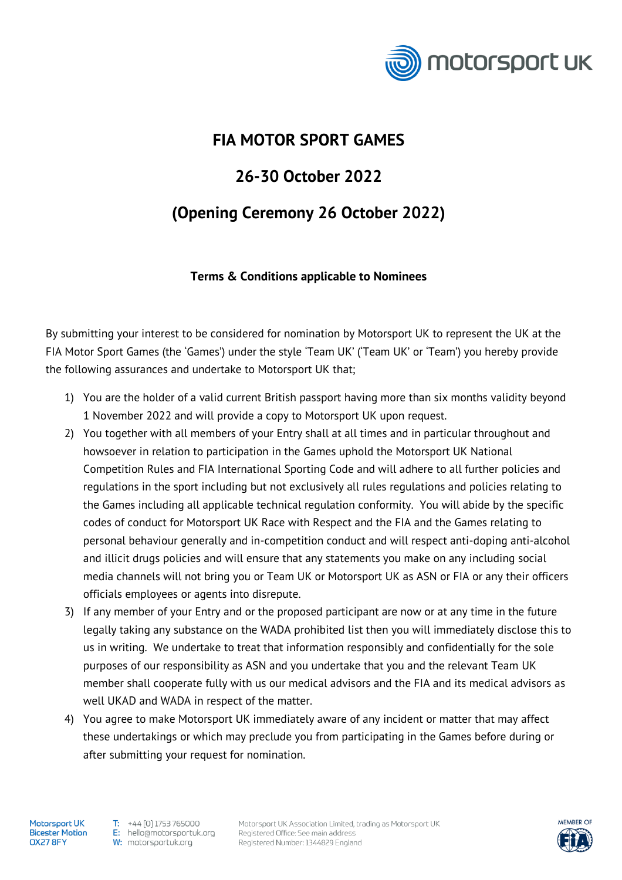

## **FIA MOTOR SPORT GAMES**

## **26-30 October 2022**

## **(Opening Ceremony 26 October 2022)**

## **Terms & Conditions applicable to Nominees**

By submitting your interest to be considered for nomination by Motorsport UK to represent the UK at the FIA Motor Sport Games (the 'Games') under the style 'Team UK' ('Team UK' or 'Team') you hereby provide the following assurances and undertake to Motorsport UK that;

- 1) You are the holder of a valid current British passport having more than six months validity beyond 1 November 2022 and will provide a copy to Motorsport UK upon request.
- 2) You together with all members of your Entry shall at all times and in particular throughout and howsoever in relation to participation in the Games uphold the Motorsport UK National Competition Rules and FIA International Sporting Code and will adhere to all further policies and regulations in the sport including but not exclusively all rules regulations and policies relating to the Games including all applicable technical regulation conformity. You will abide by the specific codes of conduct for Motorsport UK Race with Respect and the FIA and the Games relating to personal behaviour generally and in-competition conduct and will respect anti-doping anti-alcohol and illicit drugs policies and will ensure that any statements you make on any including social media channels will not bring you or Team UK or Motorsport UK as ASN or FIA or any their officers officials employees or agents into disrepute.
- 3) If any member of your Entry and or the proposed participant are now or at any time in the future legally taking any substance on the WADA prohibited list then you will immediately disclose this to us in writing. We undertake to treat that information responsibly and confidentially for the sole purposes of our responsibility as ASN and you undertake that you and the relevant Team UK member shall cooperate fully with us our medical advisors and the FIA and its medical advisors as well UKAD and WADA in respect of the matter.
- 4) You agree to make Motorsport UK immediately aware of any incident or matter that may affect these undertakings or which may preclude you from participating in the Games before during or after submitting your request for nomination.

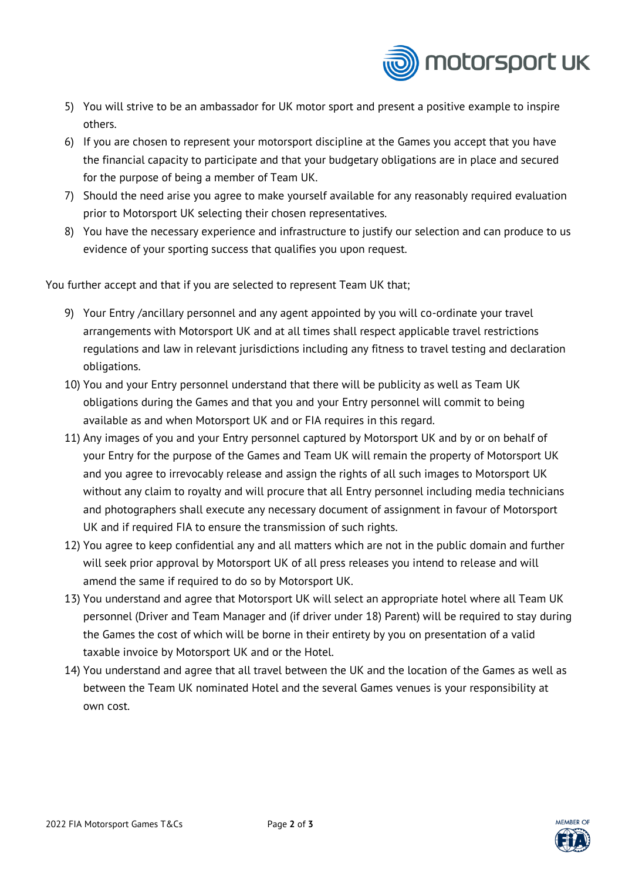

- 5) You will strive to be an ambassador for UK motor sport and present a positive example to inspire others.
- 6) If you are chosen to represent your motorsport discipline at the Games you accept that you have the financial capacity to participate and that your budgetary obligations are in place and secured for the purpose of being a member of Team UK.
- 7) Should the need arise you agree to make yourself available for any reasonably required evaluation prior to Motorsport UK selecting their chosen representatives.
- 8) You have the necessary experience and infrastructure to justify our selection and can produce to us evidence of your sporting success that qualifies you upon request.

You further accept and that if you are selected to represent Team UK that;

- 9) Your Entry /ancillary personnel and any agent appointed by you will co-ordinate your travel arrangements with Motorsport UK and at all times shall respect applicable travel restrictions regulations and law in relevant jurisdictions including any fitness to travel testing and declaration obligations.
- 10) You and your Entry personnel understand that there will be publicity as well as Team UK obligations during the Games and that you and your Entry personnel will commit to being available as and when Motorsport UK and or FIA requires in this regard.
- 11) Any images of you and your Entry personnel captured by Motorsport UK and by or on behalf of your Entry for the purpose of the Games and Team UK will remain the property of Motorsport UK and you agree to irrevocably release and assign the rights of all such images to Motorsport UK without any claim to royalty and will procure that all Entry personnel including media technicians and photographers shall execute any necessary document of assignment in favour of Motorsport UK and if required FIA to ensure the transmission of such rights.
- 12) You agree to keep confidential any and all matters which are not in the public domain and further will seek prior approval by Motorsport UK of all press releases you intend to release and will amend the same if required to do so by Motorsport UK.
- 13) You understand and agree that Motorsport UK will select an appropriate hotel where all Team UK personnel (Driver and Team Manager and (if driver under 18) Parent) will be required to stay during the Games the cost of which will be borne in their entirety by you on presentation of a valid taxable invoice by Motorsport UK and or the Hotel.
- 14) You understand and agree that all travel between the UK and the location of the Games as well as between the Team UK nominated Hotel and the several Games venues is your responsibility at own cost.